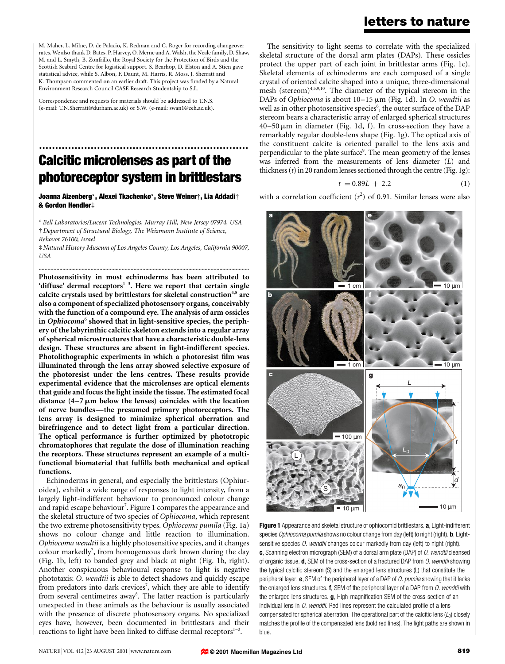## letters to nature

M. Maher, L. Milne, D. de Palacio, K. Redman and C. Roger for recording changeover rates. We also thank D. Bates, P. Harvey, O. Merne and A. Walsh, the Neale family, D. Shaw, M. and L. Smyth, B. Zonfrillo, the Royal Society for the Protection of Birds and the Scottish Seabird Centre for logistical support. S. Bearhop, D. Elston and A. Stien gave statistical advice, while S. Albon, F. Daunt, M. Harris, R. Moss, J. Sherratt and K. Thompson commented on an earlier draft. This project was funded by a Natural Environment Research Council CASE Research Studentship to S.L.

Correspondence and requests for materials should be addressed to T.N.S. (e-mail: T.N.Sherratt@durham.ac.uk) or S.W. (e-mail: swan1@ceh.ac.uk).

# ................................................................. Calcitic microlenses as part of the photoreceptor system in brittlestars

Joanna Aizenberg\*, Alexei Tkachenko\*, Steve Weiner†, Lia Addadi† & Gordon Hendler‡

\* Bell Laboratories/Lucent Technologies, Murray Hill, New Jersey 07974, USA ² Department of Structural Biology, The Weizmann Institute of Science, Rehovot 76100, Israel

³ Natural History Museum of Los Angeles County, Los Angeles, California 90007, USA ..............................................................................................................................................

Photosensitivity in most echinoderms has been attributed to 'diffuse' dermal receptors $1-3$ . Here we report that certain single calcite crystals used by brittlestars for skeletal construction<sup>4,5</sup> are also a component of specialized photosensory organs, conceivably with the function of a compound eye. The analysis of arm ossicles in Ophiocoma<sup>6</sup> showed that in light-sensitive species, the periphery of the labyrinthic calcitic skeleton extends into a regular array of spherical microstructures that have a characteristic double-lens design. These structures are absent in light-indifferent species. Photolithographic experiments in which a photoresist film was illuminated through the lens array showed selective exposure of the photoresist under the lens centres. These results provide experimental evidence that the microlenses are optical elements that guide and focus the light inside the tissue. The estimated focal distance  $(4-7 \mu m)$  below the lenses) coincides with the location of nerve bundles—the presumed primary photoreceptors. The lens array is designed to minimize spherical aberration and birefringence and to detect light from a particular direction. The optical performance is further optimized by phototropic chromatophores that regulate the dose of illumination reaching the receptors. These structures represent an example of a multifunctional biomaterial that fulfills both mechanical and optical functions.

Echinoderms in general, and especially the brittlestars (Ophiuroidea), exhibit a wide range of responses to light intensity, from a largely light-indifferent behaviour to pronounced colour change and rapid escape behaviour<sup>7</sup>. Figure 1 compares the appearance and the skeletal structure of two species of Ophiocoma, which represent the two extreme photosensitivity types. Ophiocoma pumila (Fig. 1a) shows no colour change and little reaction to illumination. Ophiocoma wendtii is a highly photosensitive species, and it changes colour markedly<sup>7</sup>, from homogeneous dark brown during the day (Fig. 1b, left) to banded grey and black at night (Fig. 1b, right). Another conspicuous behavioural response to light is negative phototaxis: O. wendtii is able to detect shadows and quickly escape from predators into dark crevices<sup>7</sup>, which they are able to identify from several centimetres away<sup>8</sup>. The latter reaction is particularly unexpected in these animals as the behaviour is usually associated with the presence of discrete photosensory organs. No specialized eyes have, however, been documented in brittlestars and their reactions to light have been linked to diffuse dermal receptors $1-3$ .

The sensitivity to light seems to correlate with the specialized skeletal structure of the dorsal arm plates (DAPs). These ossicles protect the upper part of each joint in brittlestar arms (Fig. 1c). Skeletal elements of echinoderms are each composed of a single crystal of oriented calcite shaped into a unique, three-dimensional mesh (stereom)<sup>4,5,9,10</sup>. The diameter of the typical stereom in the DAPs of Ophiocoma is about  $10-15 \mu m$  (Fig. 1d). In O. wendtii as well as in other photosensitive species<sup>6</sup>, the outer surface of the DAP stereom bears a characteristic array of enlarged spherical structures  $40-50 \mu m$  in diameter (Fig. 1d, f). In cross-section they have a remarkably regular double-lens shape (Fig. 1g). The optical axis of the constituent calcite is oriented parallel to the lens axis and perpendicular to the plate surface<sup>9</sup>. The mean geometry of the lenses was inferred from the measurements of lens diameter (L) and thickness  $(t)$  in 20 random lenses sectioned through the centre (Fig. 1g):

$$
t = 0.89L + 2.2 \tag{1}
$$

with a correlation coefficient  $(r^2)$  of 0.91. Similar lenses were also



Figure 1 Appearance and skeletal structure of ophiocomid brittlestars. a, Light-indifferent species Ophiocoma pumila shows no colour change from day (left) to night (right). **b**, Lightsensitive species O. wendtii changes colour markedly from day (left) to night (right). c, Scanning electron micrograph (SEM) of a dorsal arm plate (DAP) of O. wendtii cleansed of organic tissue.  $d$ , SEM of the cross-section of a fractured DAP from  $O$ . wendtii showing the typical calcitic stereom (S) and the enlarged lens structures (L) that constitute the peripheral layer.  $e$ , SEM of the peripheral layer of a DAP of  $O$ . pumila showing that it lacks the enlarged lens structures.  $f$ , SEM of the peripheral layer of a DAP from  $O$ . wendtii with the enlarged lens structures.  $g$ , High-magnification SEM of the cross-section of an individual lens in  $O.$  wendtii. Red lines represent the calculated profile of a lens compensated for spherical aberration. The operational part of the calcitic lens  $(L<sub>0</sub>)$  closely matches the profile of the compensated lens (bold red lines). The light paths are shown in blue.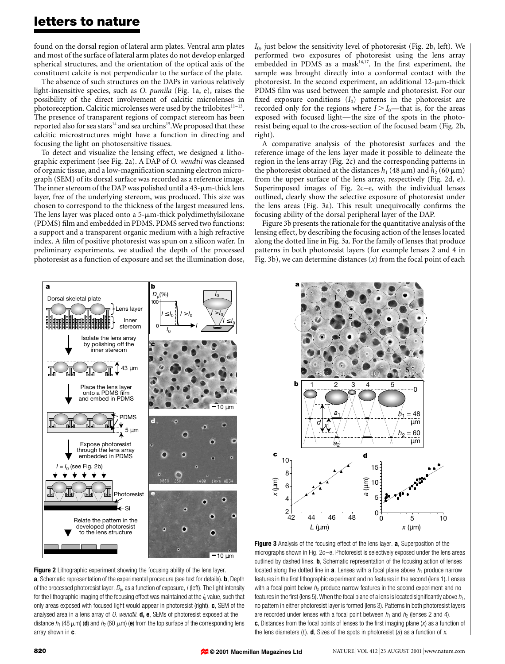### letters to nature

found on the dorsal region of lateral arm plates. Ventral arm plates and most of the surface of lateral arm plates do not develop enlarged spherical structures, and the orientation of the optical axis of the constituent calcite is not perpendicular to the surface of the plate.

The absence of such structures on the DAPs in various relatively light-insensitive species, such as O. pumila (Fig. 1a, e), raises the possibility of the direct involvement of calcitic microlenses in photoreception. Calcitic microlenses were used by the trilobites<sup>11-13</sup>. The presence of transparent regions of compact stereom has been reported also for sea stars<sup>14</sup> and sea urchins<sup>15</sup>. We proposed that these calcitic microstructures might have a function in directing and focusing the light on photosensitive tissues.

To detect and visualize the lensing effect, we designed a lithographic experiment (see Fig. 2a). A DAP of O. wendtii was cleansed of organic tissue, and a low-magnification scanning electron micrograph (SEM) of its dorsal surface was recorded as a reference image. The inner stereom of the DAP was polished until a  $43$ - $\mu$ m-thick lens layer, free of the underlying stereom, was produced. This size was chosen to correspond to the thickness of the largest measured lens. The lens layer was placed onto a  $5$ - $\mu$ m-thick polydimethylsiloxane (PDMS) film and embedded in PDMS. PDMS served two functions: a support and a transparent organic medium with a high refractive index. A film of positive photoresist was spun on a silicon wafer. In preliminary experiments, we studied the depth of the processed photoresist as a function of exposure and set the illumination dose,

 $I_0$ , just below the sensitivity level of photoresist (Fig. 2b, left). We performed two exposures of photoresist using the lens array embedded in PDMS as a mask $16,17$ . In the first experiment, the sample was brought directly into a conformal contact with the photoresist. In the second experiment, an additional  $12$ - $\mu$ m-thick PDMS film was used between the sample and photoresist. For our fixed exposure conditions  $(I_0)$  patterns in the photoresist are recorded only for the regions where  $I > I_0$ —that is, for the areas exposed with focused light—the size of the spots in the photoresist being equal to the cross-section of the focused beam (Fig. 2b, right).

A comparative analysis of the photoresist surfaces and the reference image of the lens layer made it possible to delineate the region in the lens array (Fig. 2c) and the corresponding patterns in the photoresist obtained at the distances  $h_1$  (48  $\mu$ m) and  $h_2$  (60  $\mu$ m) from the upper surface of the lens array, respectively (Fig. 2d, e). Superimposed images of Fig.  $2c-e$ , with the individual lenses outlined, clearly show the selective exposure of photoresist under the lens areas (Fig. 3a). This result unequivocally confirms the focusing ability of the dorsal peripheral layer of the DAP.

Figure 3b presents the rationale for the quantitative analysis of the lensing effect, by describing the focusing action of the lenses located along the dotted line in Fig. 3a. For the family of lenses that produce patterns in both photoresist layers (for example lenses 2 and 4 in Fig. 3b), we can determine distances  $(x)$  from the focal point of each



Figure 2 Lithographic experiment showing the focusing ability of the lens layer. a, Schematic representation of the experimental procedure (see text for details). **b**, Depth of the processed photoresist layer,  $D_p$ , as a function of exposure,  $I$  (left). The light intensity for the lithographic imaging of the focusing effect was maintained at the  $I<sub>0</sub>$  value, such that only areas exposed with focused light would appear in photoresist (right). c, SEM of the analysed area in a lens array of  $O$ . wendtii. **d, e**, SEMs of photoresist exposed at the distance  $h_1$  (48  $\mu$ m) (d) and  $h_2$  (60  $\mu$ m) (e) from the top surface of the corresponding lens array shown in c.



Figure 3 Analysis of the focusing effect of the lens layer. a, Superposition of the micrographs shown in Fig. 2c-e. Photoresist is selectively exposed under the lens areas outlined by dashed lines. **b**, Schematic representation of the focusing action of lenses located along the dotted line in **a**. Lenses with a focal plane above  $h_1$  produce narrow features in the first lithographic experiment and no features in the second (lens 1). Lenses with a focal point below  $h_2$  produce narrow features in the second experiment and no features in the first (lens 5). When the focal plane of a lens is located significantly above  $h_1$ , no pattern in either photoresist layer is formed (lens 3). Patterns in both photoresist layers are recorded under lenses with a focal point between  $h_1$  and  $h_2$  (lenses 2 and 4). c, Distances from the focal points of lenses to the first imaging plane  $(x)$  as a function of the lens diameters (L). **d**, Sizes of the spots in photoresist (a) as a function of x.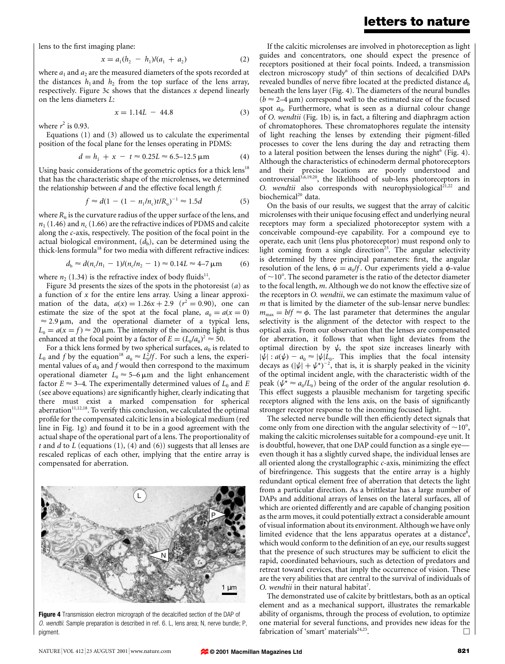lens to the first imaging plane:

$$
x = a_1(h_2 - h_1)/(a_1 + a_2) \tag{2}
$$

where  $a_1$  and  $a_2$  are the measured diameters of the spots recorded at the distances  $h_1$  and  $h_2$  from the top surface of the lens array, respectively. Figure 3c shows that the distances  $x$  depend linearly on the lens diameters L:

$$
x = 1.14L - 44.8 \tag{3}
$$

where  $r^2$  is 0.93.

Equations (1) and (3) allowed us to calculate the experimental position of the focal plane for the lenses operating in PDMS:

$$
d = h_1 + x - t \approx 0.25L \approx 6.5 - 12.5 \,\mu\text{m} \tag{4}
$$

Using basic considerations of the geometric optics for a thick lens<sup>18</sup> that has the characteristic shape of the microlenses, we determined the relationship between  $d$  and the effective focal length  $f$ :

$$
f \approx d(1 - (1 - n_1/n_c)t/R_u)^{-1} \approx 1.5d \tag{5}
$$

where  $R_u$  is the curvature radius of the upper surface of the lens, and  $n_1$  (1.46) and  $n_c$  (1.66) are the refractive indices of PDMS and calcite along the c-axis, respectively. The position of the focal point in the actual biological environment,  $(d<sub>b</sub>)$ , can be determined using the thick-lens formula<sup>18</sup> for two media with different refractive indices:

$$
d_{\rm b} \approx d(n_{\rm c}/n_1 - 1)/(n_{\rm c}/n_2 - 1) \approx 0.14L \approx 4-7 \,\mu\text{m} \tag{6}
$$

where  $n_2$  (1.34) is the refractive index of body fluids<sup>11</sup>.

Figure 3d presents the sizes of the spots in the photoresist  $(a)$  as a function of  $x$  for the entire lens array. Using a linear approximation of the data,  $a(x) = 1.26x + 2.9$   $(r^2 = 0.90)$ , one can estimate the size of the spot at the focal plane,  $a_0 = a(x = 0)$  $\approx$  2.9  $\mu$ m, and the operational diameter of a typical lens,  $L_0 = a(x = f) \approx 20 \,\mu\text{m}$ . The intensity of the incoming light is thus enhanced at the focal point by a factor of  $E = (L_0/a_0)^2 \approx 50$ .

For a thick lens formed by two spherical surfaces,  $a_0$  is related to  $L_0$  and f by the equation<sup>18</sup>  $a_0 \approx L_0^2/f$ . For such a lens, the experimental values of  $a_0$  and  $f$  would then correspond to the maximum operational diameter  $L_0 \approx 5-6 \,\mu \text{m}$  and the light enhancement factor  $E \approx 3-4$ . The experimentally determined values of  $L_0$  and E (see above equations) are significantly higher, clearly indicating that there must exist a marked compensation for spherical aberration $11,12,18$ . To verify this conclusion, we calculated the optimal profile for the compensated calcitic lens in a biological medium (red line in Fig. 1g) and found it to be in a good agreement with the actual shape of the operational part of a lens. The proportionality of t and  $d$  to  $L$  (equations (1), (4) and (6)) suggests that all lenses are rescaled replicas of each other, implying that the entire array is compensated for aberration.



Figure 4 Transmission electron micrograph of the decalcified section of the DAP of O. wendtii. Sample preparation is described in ref. 6. L, lens area; N, nerve bundle; P, pigment.

#### letters to nature

If the calcitic microlenses are involved in photoreception as light guides and concentrators, one should expect the presence of receptors positioned at their focal points. Indeed, a transmission electron microscopy study<sup>6</sup> of thin sections of decalcified DAPs revealed bundles of nerve fibre located at the predicted distance  $d_{\rm b}$ beneath the lens layer (Fig. 4). The diameters of the neural bundles  $(b \approx 2-4 \,\mu\text{m})$  correspond well to the estimated size of the focused spot  $a_0$ . Furthermore, what is seen as a diurnal colour change of O. wendtii (Fig. 1b) is, in fact, a filtering and diaphragm action of chromatophores. These chromatophores regulate the intensity of light reaching the lenses by extending their pigment-filled processes to cover the lens during the day and retracting them to a lateral position between the lenses during the night<sup>6</sup> (Fig. 4). Although the characteristics of echinoderm dermal photoreceptors and their precise locations are poorly understood and controversial<sup>3,6,19,20</sup>, the likelihood of sub-lens photoreceptors in O. wendtii also corresponds with neurophysiological<sup>21,22</sup> and biochemical<sup>20</sup> data.

On the basis of our results, we suggest that the array of calcitic microlenses with their unique focusing effect and underlying neural receptors may form a specialized photoreceptor system with a conceivable compound-eye capability. For a compound eye to operate, each unit (lens plus photoreceptor) must respond only to light coming from a single direction<sup>23</sup>. The angular selectivity is determined by three principal parameters: first, the angular resolution of the lens,  $\phi = a_0/f$ . Our experiments yield a  $\phi$ -value of  $\sim$ 10°. The second parameter is the ratio of the detector diameter to the focal length, m. Although we do not know the effective size of the receptors in O. wendtii, we can estimate the maximum value of  *that is limited by the diameter of the sub-lensar nerve bundles:*  $m_{\text{max}} = b/f \approx \phi$ . The last parameter that determines the angular selectivity is the alignment of the detector with respect to the optical axis. From our observation that the lenses are compensated for aberration, it follows that when light deviates from the optimal direction by  $\psi$ , the spot size increases linearly with  $|\psi|$ :  $a(\psi) - a_0 \approx |\psi| L_0$ . This implies that the focal intensity decays as  $(|\psi| + \psi^*)^{-2}$ , that is, it is sharply peaked in the vicinity of the optimal incident angle, with the characteristic width of the peak ( $\psi^* \approx a_0/L_0$ ) being of the order of the angular resolution  $\phi$ . This effect suggests a plausible mechanism for targeting specific receptors aligned with the lens axis, on the basis of significantly stronger receptor response to the incoming focused light.

The selected nerve bundle will then efficiently detect signals that come only from one direction with the angular selectivity of  $\sim 10^{\circ}$ , making the calcitic microlenses suitable for a compound-eye unit. It is doubtful, however, that one DAP could function as a single eyeeven though it has a slightly curved shape, the individual lenses are all oriented along the crystallographic  $c$ -axis, minimizing the effect of birefringence. This suggests that the entire array is a highly redundant optical element free of aberration that detects the light from a particular direction. As a brittlestar has a large number of DAPs and additional arrays of lenses on the lateral surfaces, all of which are oriented differently and are capable of changing position as the arm moves, it could potentially extract a considerable amount of visual information about its environment. Although we have only limited evidence that the lens apparatus operates at a distance<sup>8</sup>, which would conform to the definition of an eye, our results suggest that the presence of such structures may be sufficient to elicit the rapid, coordinated behaviours, such as detection of predators and retreat toward crevices, that imply the occurrence of vision. These are the very abilities that are central to the survival of individuals of O. wendtii in their natural habitat<sup>7</sup>.

The demonstrated use of calcite by brittlestars, both as an optical element and as a mechanical support, illustrates the remarkable ability of organisms, through the process of evolution, to optimize one material for several functions, and provides new ideas for the fabrication of 'smart' materials<sup>24,25</sup>.